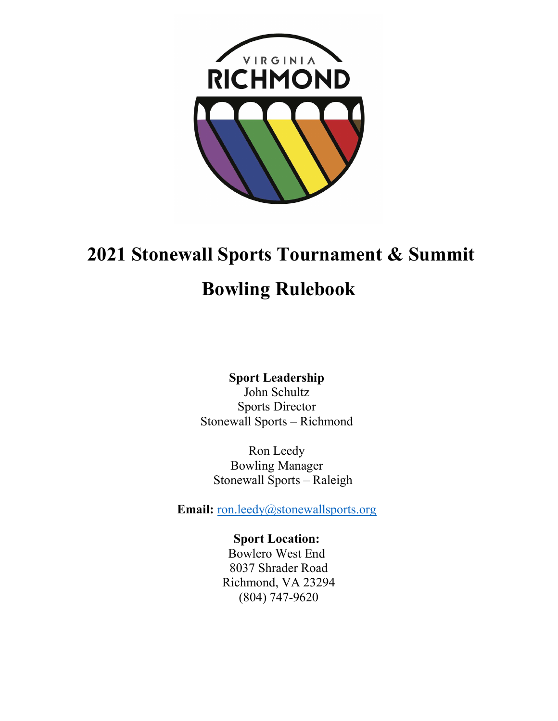

## 2021 Stonewall Sports Tournament & Summit

## Bowling Rulebook

Sport Leadership John Schultz Sports Director Stonewall Sports – Richmond

Ron Leedy Bowling Manager Stonewall Sports – Raleigh

Email: ron.leedy@stonewallsports.org

Sport Location: Bowlero West End 8037 Shrader Road Richmond, VA 23294 (804) 747-9620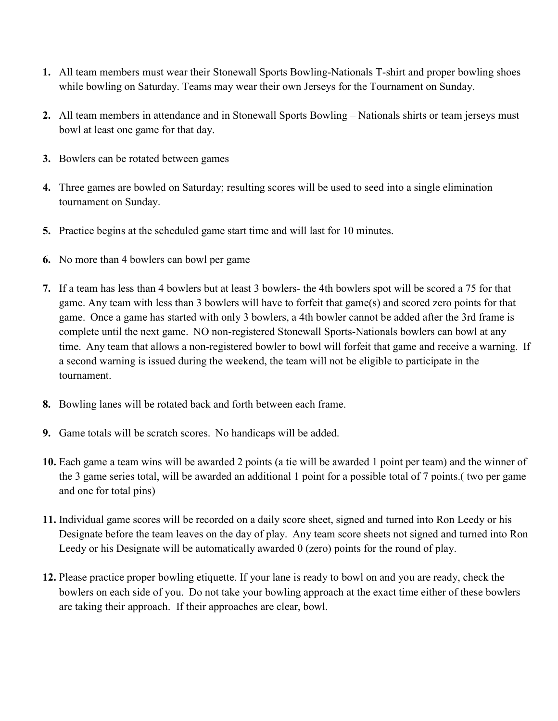- 1. All team members must wear their Stonewall Sports Bowling-Nationals T-shirt and proper bowling shoes while bowling on Saturday. Teams may wear their own Jerseys for the Tournament on Sunday.
- 2. All team members in attendance and in Stonewall Sports Bowling Nationals shirts or team jerseys must bowl at least one game for that day.
- 3. Bowlers can be rotated between games
- 4. Three games are bowled on Saturday; resulting scores will be used to seed into a single elimination tournament on Sunday.
- 5. Practice begins at the scheduled game start time and will last for 10 minutes.
- 6. No more than 4 bowlers can bowl per game
- 7. If a team has less than 4 bowlers but at least 3 bowlers- the 4th bowlers spot will be scored a 75 for that game. Any team with less than 3 bowlers will have to forfeit that game(s) and scored zero points for that game.  Once a game has started with only 3 bowlers, a 4th bowler cannot be added after the 3rd frame is complete until the next game.  NO non-registered Stonewall Sports-Nationals bowlers can bowl at any time.  Any team that allows a non-registered bowler to bowl will forfeit that game and receive a warning.  If a second warning is issued during the weekend, the team will not be eligible to participate in the tournament.
- 8. Bowling lanes will be rotated back and forth between each frame.
- 9. Game totals will be scratch scores.  No handicaps will be added.
- 10. Each game a team wins will be awarded 2 points (a tie will be awarded 1 point per team) and the winner of the 3 game series total, will be awarded an additional 1 point for a possible total of 7 points.( two per game and one for total pins)
- 11. Individual game scores will be recorded on a daily score sheet, signed and turned into Ron Leedy or his Designate before the team leaves on the day of play.  Any team score sheets not signed and turned into Ron Leedy or his Designate will be automatically awarded 0 (zero) points for the round of play.
- 12. Please practice proper bowling etiquette. If your lane is ready to bowl on and you are ready, check the bowlers on each side of you.  Do not take your bowling approach at the exact time either of these bowlers are taking their approach. If their approaches are clear, bowl.